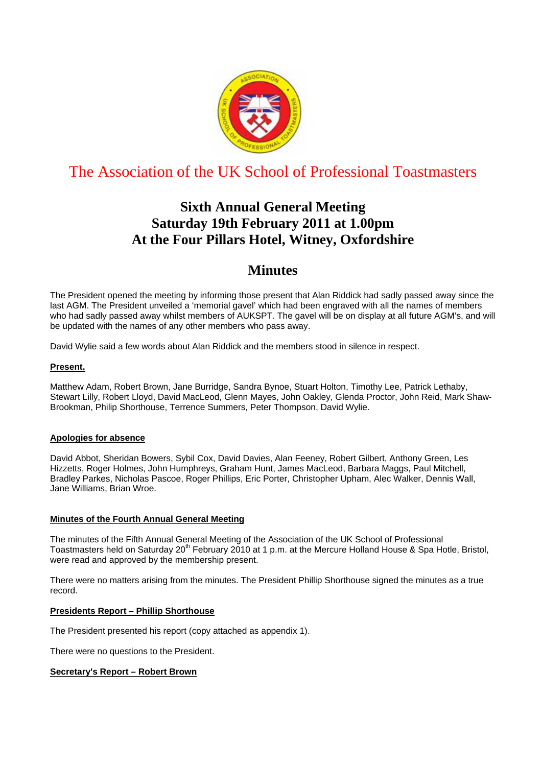

# The Association of the UK School of Professional Toastmasters

# **Sixth Annual General Meeting Saturday 19th February 2011 at 1.00pm At the Four Pillars Hotel, Witney, Oxfordshire**

# **Minutes**

The President opened the meeting by informing those present that Alan Riddick had sadly passed away since the last AGM. The President unveiled a 'memorial gavel' which had been engraved with all the names of members who had sadly passed away whilst members of AUKSPT. The gavel will be on display at all future AGM's, and will be updated with the names of any other members who pass away.

David Wylie said a few words about Alan Riddick and the members stood in silence in respect.

## **Present.**

Matthew Adam, Robert Brown, Jane Burridge, Sandra Bynoe, Stuart Holton, Timothy Lee, Patrick Lethaby, Stewart Lilly, Robert Lloyd, David MacLeod, Glenn Mayes, John Oakley, Glenda Proctor, John Reid, Mark Shaw-Brookman, Philip Shorthouse, Terrence Summers, Peter Thompson, David Wylie.

### **Apologies for absence**

David Abbot, Sheridan Bowers, Sybil Cox, David Davies, Alan Feeney, Robert Gilbert, Anthony Green, Les Hizzetts, Roger Holmes, John Humphreys, Graham Hunt, James MacLeod, Barbara Maggs, Paul Mitchell, Bradley Parkes, Nicholas Pascoe, Roger Phillips, Eric Porter, Christopher Upham, Alec Walker, Dennis Wall, Jane Williams, Brian Wroe.

### **Minutes of the Fourth Annual General Meeting**

The minutes of the Fifth Annual General Meeting of the Association of the UK School of Professional Toastmasters held on Saturday 20<sup>th</sup> February 2010 at 1 p.m. at the Mercure Holland House & Spa Hotle, Bristol, were read and approved by the membership present.

There were no matters arising from the minutes. The President Phillip Shorthouse signed the minutes as a true record.

### **Presidents Report – Phillip Shorthouse**

The President presented his report (copy attached as appendix 1).

There were no questions to the President.

### **Secretary's Report – Robert Brown**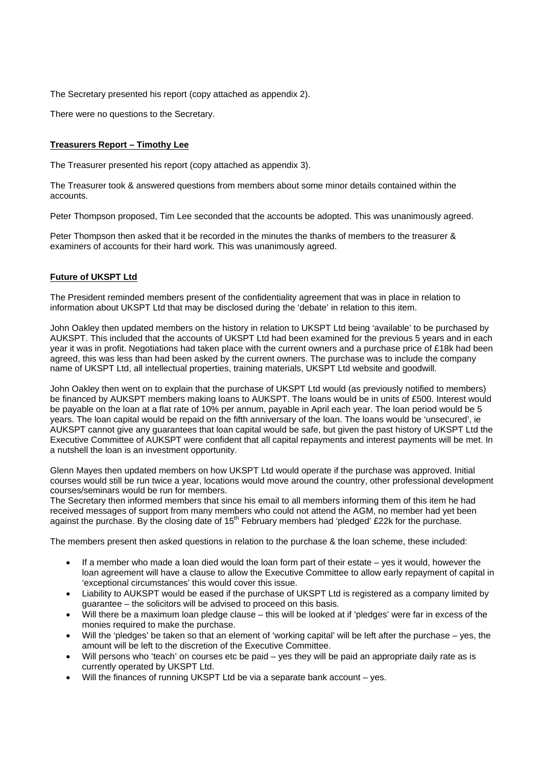The Secretary presented his report (copy attached as appendix 2).

There were no questions to the Secretary.

### **Treasurers Report – Timothy Lee**

The Treasurer presented his report (copy attached as appendix 3).

The Treasurer took & answered questions from members about some minor details contained within the accounts.

Peter Thompson proposed, Tim Lee seconded that the accounts be adopted. This was unanimously agreed.

Peter Thompson then asked that it be recorded in the minutes the thanks of members to the treasurer & examiners of accounts for their hard work. This was unanimously agreed.

## **Future of UKSPT Ltd**

The President reminded members present of the confidentiality agreement that was in place in relation to information about UKSPT Ltd that may be disclosed during the 'debate' in relation to this item.

John Oakley then updated members on the history in relation to UKSPT Ltd being 'available' to be purchased by AUKSPT. This included that the accounts of UKSPT Ltd had been examined for the previous 5 years and in each year it was in profit. Negotiations had taken place with the current owners and a purchase price of £18k had been agreed, this was less than had been asked by the current owners. The purchase was to include the company name of UKSPT Ltd, all intellectual properties, training materials, UKSPT Ltd website and goodwill.

John Oakley then went on to explain that the purchase of UKSPT Ltd would (as previously notified to members) be financed by AUKSPT members making loans to AUKSPT. The loans would be in units of £500. Interest would be payable on the loan at a flat rate of 10% per annum, payable in April each year. The loan period would be 5 years. The loan capital would be repaid on the fifth anniversary of the loan. The loans would be 'unsecured', ie AUKSPT cannot give any guarantees that loan capital would be safe, but given the past history of UKSPT Ltd the Executive Committee of AUKSPT were confident that all capital repayments and interest payments will be met. In a nutshell the loan is an investment opportunity.

Glenn Mayes then updated members on how UKSPT Ltd would operate if the purchase was approved. Initial courses would still be run twice a year, locations would move around the country, other professional development courses/seminars would be run for members.

The Secretary then informed members that since his email to all members informing them of this item he had received messages of support from many members who could not attend the AGM, no member had yet been against the purchase. By the closing date of 15<sup>th</sup> February members had 'pledged' £22k for the purchase.

The members present then asked questions in relation to the purchase & the loan scheme, these included:

- If a member who made a loan died would the loan form part of their estate yes it would, however the loan agreement will have a clause to allow the Executive Committee to allow early repayment of capital in 'exceptional circumstances' this would cover this issue.
- Liability to AUKSPT would be eased if the purchase of UKSPT Ltd is registered as a company limited by guarantee – the solicitors will be advised to proceed on this basis.
- Will there be a maximum loan pledge clause this will be looked at if 'pledges' were far in excess of the monies required to make the purchase.
- Will the 'pledges' be taken so that an element of 'working capital' will be left after the purchase yes, the amount will be left to the discretion of the Executive Committee.
- Will persons who 'teach' on courses etc be paid yes they will be paid an appropriate daily rate as is currently operated by UKSPT Ltd.
- Will the finances of running UKSPT Ltd be via a separate bank account yes.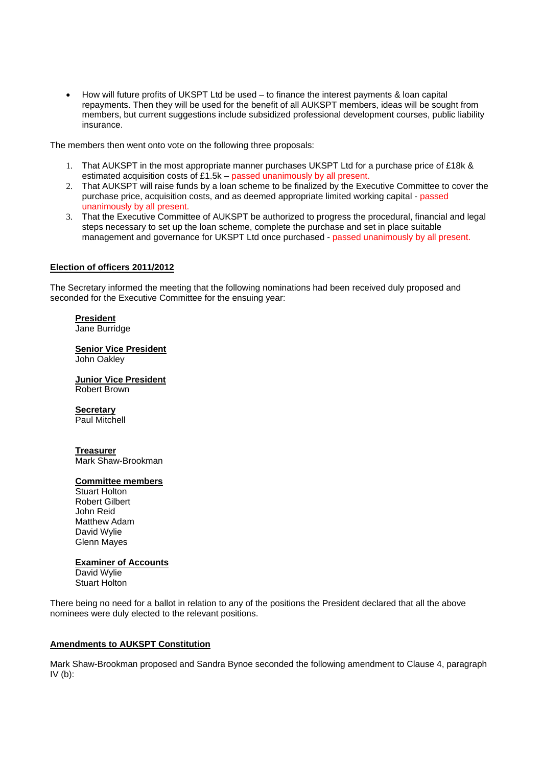• How will future profits of UKSPT Ltd be used – to finance the interest payments & loan capital repayments. Then they will be used for the benefit of all AUKSPT members, ideas will be sought from members, but current suggestions include subsidized professional development courses, public liability insurance.

The members then went onto vote on the following three proposals:

- 1. That AUKSPT in the most appropriate manner purchases UKSPT Ltd for a purchase price of £18k & estimated acquisition costs of £1.5k – passed unanimously by all present.
- 2. That AUKSPT will raise funds by a loan scheme to be finalized by the Executive Committee to cover the purchase price, acquisition costs, and as deemed appropriate limited working capital - passed unanimously by all present.
- 3. That the Executive Committee of AUKSPT be authorized to progress the procedural, financial and legal steps necessary to set up the loan scheme, complete the purchase and set in place suitable management and governance for UKSPT Ltd once purchased - passed unanimously by all present.

### **Election of officers 2011/2012**

The Secretary informed the meeting that the following nominations had been received duly proposed and seconded for the Executive Committee for the ensuing year:

## **President**

Jane Burridge

### **Senior Vice President**

John Oakley

**Junior Vice President** Robert Brown

#### **Secretary** Paul Mitchell

**Treasurer** Mark Shaw-Brookman

# **Committee members**

Stuart Holton Robert Gilbert John Reid Matthew Adam David Wylie Glenn Mayes

### **Examiner of Accounts**

David Wylie Stuart Holton

There being no need for a ballot in relation to any of the positions the President declared that all the above nominees were duly elected to the relevant positions.

### **Amendments to AUKSPT Constitution**

Mark Shaw-Brookman proposed and Sandra Bynoe seconded the following amendment to Clause 4, paragraph  $IV$  (b):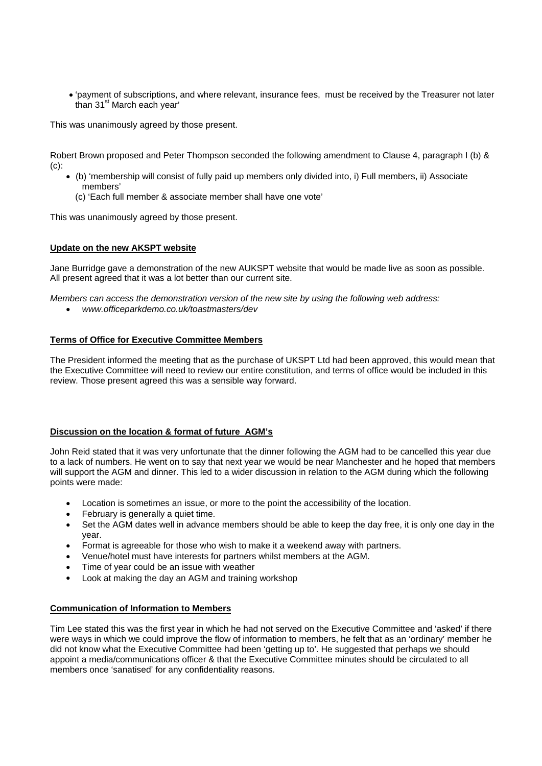• 'payment of subscriptions, and where relevant, insurance fees, must be received by the Treasurer not later than 31<sup>st</sup> March each year'

This was unanimously agreed by those present.

Robert Brown proposed and Peter Thompson seconded the following amendment to Clause 4, paragraph I (b) & (c):

- (b) 'membership will consist of fully paid up members only divided into, i) Full members, ii) Associate members'
	- (c) 'Each full member & associate member shall have one vote'

This was unanimously agreed by those present.

### **Update on the new AKSPT website**

Jane Burridge gave a demonstration of the new AUKSPT website that would be made live as soon as possible. All present agreed that it was a lot better than our current site.

*Members can access the demonstration version of the new site by using the following web address:* 

• *www.officeparkdemo.co.uk/toastmasters/dev* 

### **Terms of Office for Executive Committee Members**

The President informed the meeting that as the purchase of UKSPT Ltd had been approved, this would mean that the Executive Committee will need to review our entire constitution, and terms of office would be included in this review. Those present agreed this was a sensible way forward.

### **Discussion on the location & format of future AGM's**

John Reid stated that it was very unfortunate that the dinner following the AGM had to be cancelled this year due to a lack of numbers. He went on to say that next year we would be near Manchester and he hoped that members will support the AGM and dinner. This led to a wider discussion in relation to the AGM during which the following points were made:

- Location is sometimes an issue, or more to the point the accessibility of the location.
- February is generally a quiet time.
- Set the AGM dates well in advance members should be able to keep the day free, it is only one day in the year.
- Format is agreeable for those who wish to make it a weekend away with partners.
- Venue/hotel must have interests for partners whilst members at the AGM.
- Time of year could be an issue with weather
- Look at making the day an AGM and training workshop

### **Communication of Information to Members**

Tim Lee stated this was the first year in which he had not served on the Executive Committee and 'asked' if there were ways in which we could improve the flow of information to members, he felt that as an 'ordinary' member he did not know what the Executive Committee had been 'getting up to'. He suggested that perhaps we should appoint a media/communications officer & that the Executive Committee minutes should be circulated to all members once 'sanatised' for any confidentiality reasons.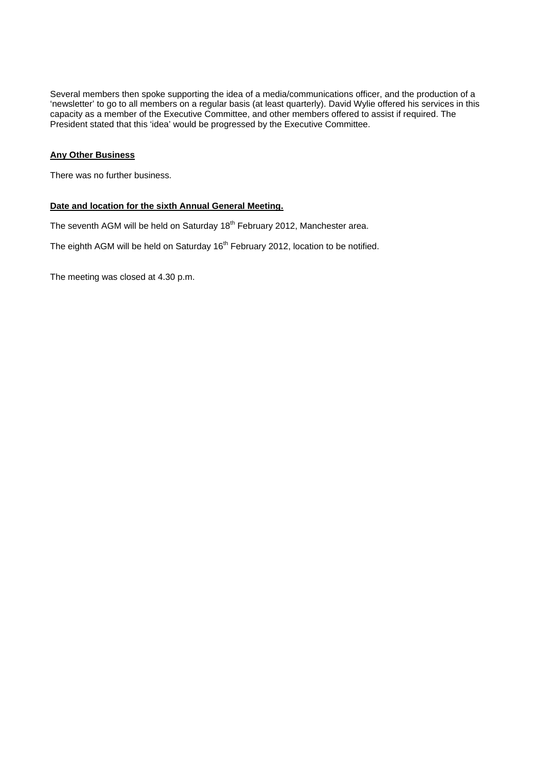Several members then spoke supporting the idea of a media/communications officer, and the production of a 'newsletter' to go to all members on a regular basis (at least quarterly). David Wylie offered his services in this capacity as a member of the Executive Committee, and other members offered to assist if required. The President stated that this 'idea' would be progressed by the Executive Committee.

## **Any Other Business**

There was no further business.

## **Date and location for the sixth Annual General Meeting.**

The seventh AGM will be held on Saturday 18<sup>th</sup> February 2012, Manchester area.

The eighth AGM will be held on Saturday 16<sup>th</sup> February 2012, location to be notified.

The meeting was closed at 4.30 p.m.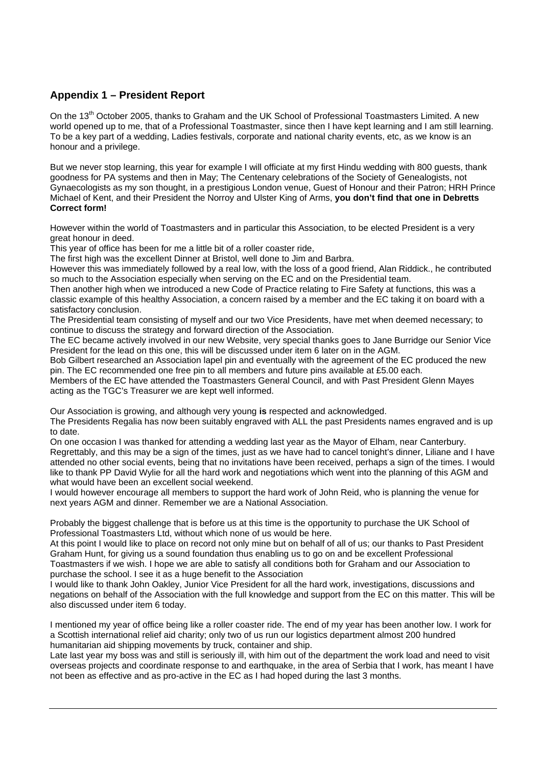## **Appendix 1 – President Report**

On the 13<sup>th</sup> October 2005, thanks to Graham and the UK School of Professional Toastmasters Limited. A new world opened up to me, that of a Professional Toastmaster, since then I have kept learning and I am still learning. To be a key part of a wedding, Ladies festivals, corporate and national charity events, etc, as we know is an honour and a privilege.

But we never stop learning, this year for example I will officiate at my first Hindu wedding with 800 guests, thank goodness for PA systems and then in May; The Centenary celebrations of the Society of Genealogists, not Gynaecologists as my son thought, in a prestigious London venue, Guest of Honour and their Patron; HRH Prince Michael of Kent, and their President the Norroy and Ulster King of Arms, **you don't find that one in Debretts Correct form!** 

However within the world of Toastmasters and in particular this Association, to be elected President is a very great honour in deed.

This year of office has been for me a little bit of a roller coaster ride,

The first high was the excellent Dinner at Bristol, well done to Jim and Barbra.

However this was immediately followed by a real low, with the loss of a good friend, Alan Riddick., he contributed so much to the Association especially when serving on the EC and on the Presidential team.

Then another high when we introduced a new Code of Practice relating to Fire Safety at functions, this was a classic example of this healthy Association, a concern raised by a member and the EC taking it on board with a satisfactory conclusion.

The Presidential team consisting of myself and our two Vice Presidents, have met when deemed necessary; to continue to discuss the strategy and forward direction of the Association.

The EC became actively involved in our new Website, very special thanks goes to Jane Burridge our Senior Vice President for the lead on this one, this will be discussed under item 6 later on in the AGM.

Bob Gilbert researched an Association lapel pin and eventually with the agreement of the EC produced the new pin. The EC recommended one free pin to all members and future pins available at £5.00 each.

Members of the EC have attended the Toastmasters General Council, and with Past President Glenn Mayes acting as the TGC's Treasurer we are kept well informed.

Our Association is growing, and although very young **is** respected and acknowledged.

The Presidents Regalia has now been suitably engraved with ALL the past Presidents names engraved and is up to date.

On one occasion I was thanked for attending a wedding last year as the Mayor of Elham, near Canterbury. Regrettably, and this may be a sign of the times, just as we have had to cancel tonight's dinner, Liliane and I have attended no other social events, being that no invitations have been received, perhaps a sign of the times. I would like to thank PP David Wylie for all the hard work and negotiations which went into the planning of this AGM and what would have been an excellent social weekend.

I would however encourage all members to support the hard work of John Reid, who is planning the venue for next years AGM and dinner. Remember we are a National Association.

Probably the biggest challenge that is before us at this time is the opportunity to purchase the UK School of Professional Toastmasters Ltd, without which none of us would be here.

At this point I would like to place on record not only mine but on behalf of all of us; our thanks to Past President Graham Hunt, for giving us a sound foundation thus enabling us to go on and be excellent Professional Toastmasters if we wish. I hope we are able to satisfy all conditions both for Graham and our Association to purchase the school. I see it as a huge benefit to the Association

I would like to thank John Oakley, Junior Vice President for all the hard work, investigations, discussions and negations on behalf of the Association with the full knowledge and support from the EC on this matter. This will be also discussed under item 6 today.

I mentioned my year of office being like a roller coaster ride. The end of my year has been another low. I work for a Scottish international relief aid charity; only two of us run our logistics department almost 200 hundred humanitarian aid shipping movements by truck, container and ship.

Late last year my boss was and still is seriously ill, with him out of the department the work load and need to visit overseas projects and coordinate response to and earthquake, in the area of Serbia that I work, has meant I have not been as effective and as pro-active in the EC as I had hoped during the last 3 months.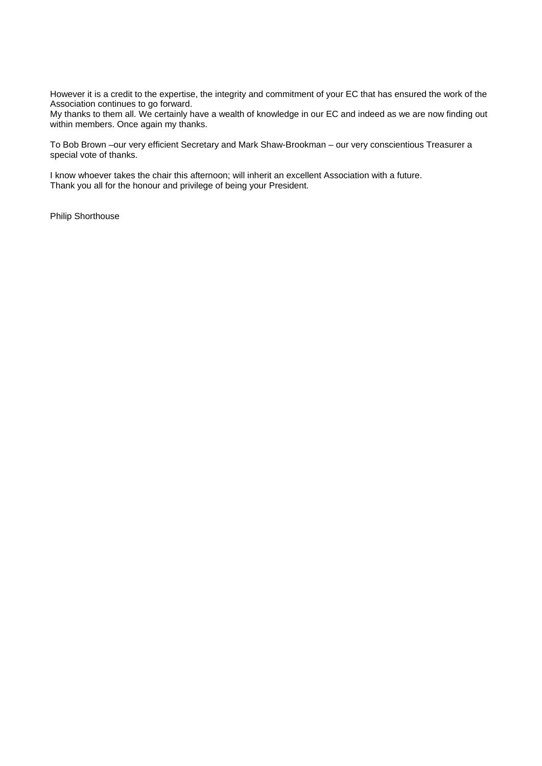However it is a credit to the expertise, the integrity and commitment of your EC that has ensured the work of the Association continues to go forward.

My thanks to them all. We certainly have a wealth of knowledge in our EC and indeed as we are now finding out within members. Once again my thanks.

To Bob Brown –our very efficient Secretary and Mark Shaw-Brookman – our very conscientious Treasurer a special vote of thanks.

I know whoever takes the chair this afternoon; will inherit an excellent Association with a future. Thank you all for the honour and privilege of being your President.

Philip Shorthouse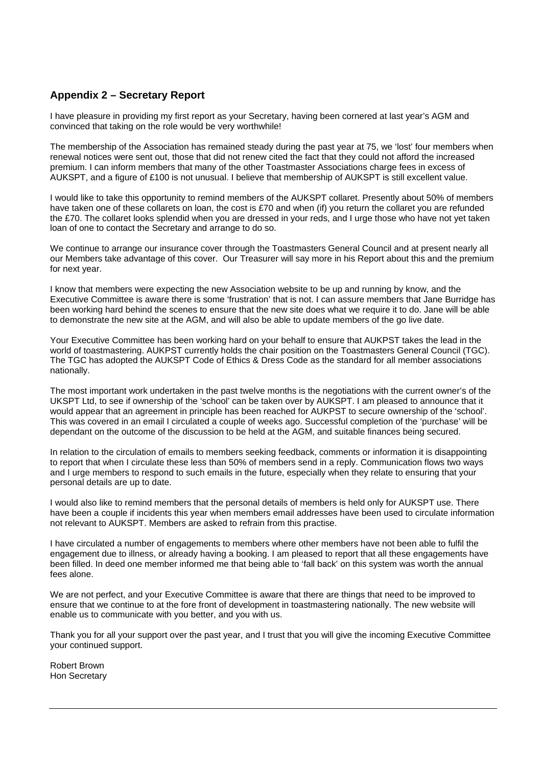## **Appendix 2 – Secretary Report**

I have pleasure in providing my first report as your Secretary, having been cornered at last year's AGM and convinced that taking on the role would be very worthwhile!

The membership of the Association has remained steady during the past year at 75, we 'lost' four members when renewal notices were sent out, those that did not renew cited the fact that they could not afford the increased premium. I can inform members that many of the other Toastmaster Associations charge fees in excess of AUKSPT, and a figure of £100 is not unusual. I believe that membership of AUKSPT is still excellent value.

I would like to take this opportunity to remind members of the AUKSPT collaret. Presently about 50% of members have taken one of these collarets on loan, the cost is £70 and when (if) you return the collaret you are refunded the £70. The collaret looks splendid when you are dressed in your reds, and I urge those who have not yet taken loan of one to contact the Secretary and arrange to do so.

We continue to arrange our insurance cover through the Toastmasters General Council and at present nearly all our Members take advantage of this cover. Our Treasurer will say more in his Report about this and the premium for next year.

I know that members were expecting the new Association website to be up and running by know, and the Executive Committee is aware there is some 'frustration' that is not. I can assure members that Jane Burridge has been working hard behind the scenes to ensure that the new site does what we require it to do. Jane will be able to demonstrate the new site at the AGM, and will also be able to update members of the go live date.

Your Executive Committee has been working hard on your behalf to ensure that AUKPST takes the lead in the world of toastmastering. AUKPST currently holds the chair position on the Toastmasters General Council (TGC). The TGC has adopted the AUKSPT Code of Ethics & Dress Code as the standard for all member associations nationally.

The most important work undertaken in the past twelve months is the negotiations with the current owner's of the UKSPT Ltd, to see if ownership of the 'school' can be taken over by AUKSPT. I am pleased to announce that it would appear that an agreement in principle has been reached for AUKPST to secure ownership of the 'school'. This was covered in an email I circulated a couple of weeks ago. Successful completion of the 'purchase' will be dependant on the outcome of the discussion to be held at the AGM, and suitable finances being secured.

In relation to the circulation of emails to members seeking feedback, comments or information it is disappointing to report that when I circulate these less than 50% of members send in a reply. Communication flows two ways and I urge members to respond to such emails in the future, especially when they relate to ensuring that your personal details are up to date.

I would also like to remind members that the personal details of members is held only for AUKSPT use. There have been a couple if incidents this year when members email addresses have been used to circulate information not relevant to AUKSPT. Members are asked to refrain from this practise.

I have circulated a number of engagements to members where other members have not been able to fulfil the engagement due to illness, or already having a booking. I am pleased to report that all these engagements have been filled. In deed one member informed me that being able to 'fall back' on this system was worth the annual fees alone.

We are not perfect, and your Executive Committee is aware that there are things that need to be improved to ensure that we continue to at the fore front of development in toastmastering nationally. The new website will enable us to communicate with you better, and you with us.

Thank you for all your support over the past year, and I trust that you will give the incoming Executive Committee your continued support.

Robert Brown Hon Secretary